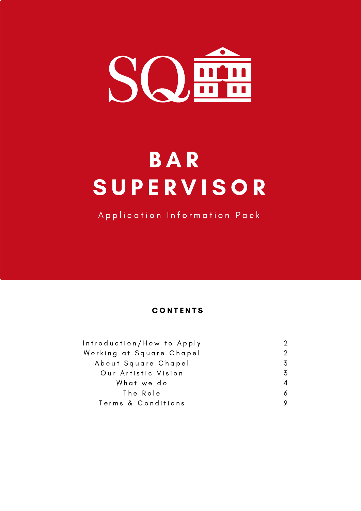

# **BAR SUPERVISOR**

Application Information Pack

# **CONTENTS**

| Introduction/How to Apply |   |
|---------------------------|---|
| Working at Square Chapel  |   |
| About Square Chapel       | 3 |
| Our Artistic Vision       | 3 |
| What we do                |   |
| The Role                  | Δ |
| Terms & Conditions        |   |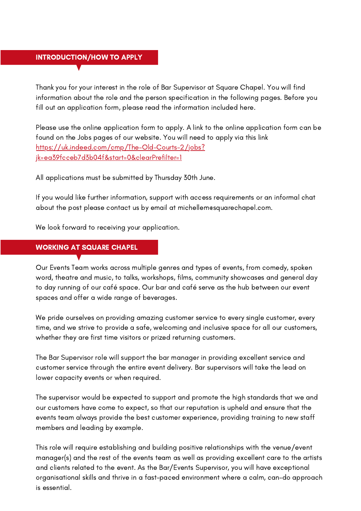## INTRODUCTION/HOW TO APPLY

Thank you for your interest in the role of Bar Supervisor at Square Chapel. You will find information about the role and the person specification in the following pages. Before you fill out an application form, please read the information included here.

Please use the online application form to apply. A link to the online application form can be found on the Jobs pages of our website. You will need to apply via this link [https://uk.indeed.com/cmp/The-Old-Courts-2/jobs?](https://uk.indeed.com/cmp/The-Old-Courts-2/jobs?jk=ea39fcceb7d3b04f&start=0&clearPrefilter=1) jk=ea39fcceb7d3b04f&start=0&clearPrefilter=1

All applications must be submitted by Thursday 30th June.

If you would like further information, support with access requirements or an informal chat about the post please contact us by email at michellemesquarechapel.com.

We look forward to receiving your application.

## WORKING AT SQUARE CHAPEL

Our Events Team works across multiple genres and types of events, from comedy, spoken word, theatre and music, to talks, workshops, films, community showcases and general day to day running of our café space. Our bar and café serve as the hub between our event spaces and offer a wide range of beverages.

We pride ourselves on providing amazing customer service to every single customer, every time, and we strive to provide a safe, welcoming and inclusive space for all our customers, whether they are first time visitors or prized returning customers.

The Bar Supervisor role will support the bar manager in providing excellent service and customer service through the entire event delivery. Bar supervisors will take the lead on lower capacity events or when required.

The supervisor would be expected to support and promote the high standards that we and our customers have come to expect, so that our reputation is upheld and ensure that the events team always provide the best customer experience, providing training to new staff members and leading by example.

This role will require establishing and building positive relationships with the venue/event manager(s) and the rest of the events team as well as providing excellent care to the artists and clients related to the event. As the Bar/Events Supervisor, you will have exceptional organisational skills and thrive in a fast-paced environment where a calm, can-do approach is essential.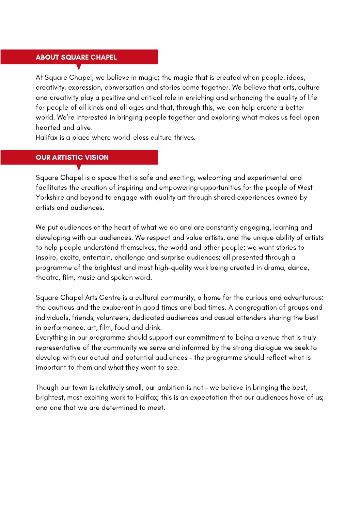#### ABOUT SQUARE CHAPEL

At Square Chapel, we believe in magic; the magic that is created when people, ideas, creativity, expression, conversation and stories come together. We believe that arts, culture and creativity play a positive and critical role in enriching and enhancing the quality of life for people of all kinds and all ages and that, through this, we can help create a better world. We're interested in bringing people together and exploring what makes us feel open hearted and alive.

Halifax is a place where world-class culture thrives.

#### OUR ARTISTIC VISION

Square Chapel is a space that is safe and exciting, welcoming and experimental and facilitates the creation of inspiring and empowering opportunities for the people of West Yorkshire and beyond to engage with quality art through shared experiences owned by artists and audiences.

We put audiences at the heart of what we do and are constantly engaging, learning and developing with our audiences. We respect and value artists, and the unique ability of artists to help people understand themselves, the world and other people; we want stories to inspire, excite, entertain, challenge and surprise audiences; all presented through a programme of the brightest and most high-quality work being created in drama, dance, theatre, film, music and spoken word.

Square Chapel Arts Centre is a cultural community, a home for the curious and adventurous; the cautious and the exuberant in good times and bad times. A congregation of groups and individuals, friends, volunteers, dedicated audiences and casual attenders sharing the best in performance, art, film, food and drink.

Everything in our programme should support our commitment to being a venue that is truly representative of the community we serve and informed by the strong dialogue we seek to develop with our actual and potential audiences – the programme should reflect what is important to them and what they want to see.

Though our town is relatively small, our ambition is not – we believe in bringing the best, brightest, most exciting work to Halifax; this is an expectation that our audiences have of us; and one that we are determined to meet.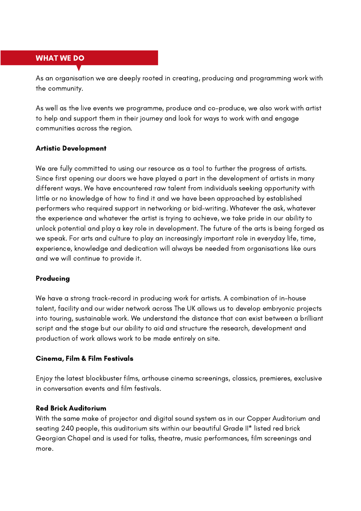#### WHAT WE DO

As an organisation we are deeply rooted in creating, producing and programming work with the community.

As well as the live events we programme, produce and co-produce, we also work with artist to help and support them in their journey and look for ways to work with and engage communities across the region.

#### Artistic Development

We are fully committed to using our resource as a tool to further the progress of artists. Since first opening our doors we have played a part in the development of artists in many different ways. We have encountered raw talent from individuals seeking opportunity with little or no knowledge of how to find it and we have been approached by established performers who required support in networking or bid-writing. Whatever the ask, whatever the experience and whatever the artist is trying to achieve, we take pride in our ability to unlock potential and play a key role in development. The future of the arts is being forged as we speak. For arts and culture to play an increasingly important role in everyday life, time, experience, knowledge and dedication will always be needed from organisations like ours and we will continue to provide it.

#### Producing

We have a strong track-record in producing work for artists. A combination of in-house talent, facility and our wider network across The UK allows us to develop embryonic projects into touring, sustainable work. We understand the distance that can exist between a brilliant script and the stage but our ability to aid and structure the research, development and production of work allows work to be made entirely on site.

#### Cinema, Film & Film Festivals

Enjoy the latest blockbuster films, arthouse cinema screenings, classics, premieres, exclusive in conversation events and film festivals.

#### Red Brick Auditorium

With the same make of projector and digital sound system as in our Copper Auditorium and seating 240 people, this auditorium sits within our beautiful Grade II\* listed red brick Georgian Chapel and is used for talks, theatre, music performances, film screenings and more.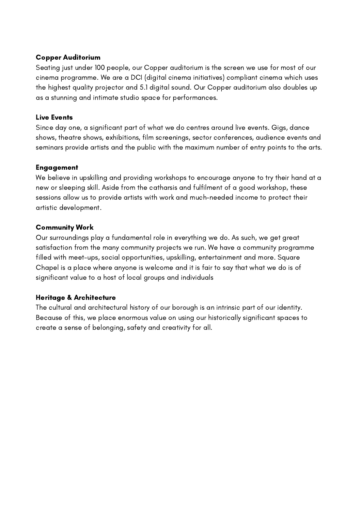#### Copper Auditorium

Seating just under 100 people, our Copper auditorium is the screen we use for most of our cinema programme. We are a DCI (digital cinema initiatives) compliant cinema which uses the highest quality projector and 5.1 digital sound. Our Copper auditorium also doubles up as a stunning and intimate studio space for performances.

## Live Events

Since day one, a significant part of what we do centres around live events. Gigs, dance shows, theatre shows, exhibitions, film screenings, sector conferences, audience events and seminars provide artists and the public with the maximum number of entry points to the arts.

#### Engagement

We believe in upskilling and providing workshops to encourage anyone to try their hand at a new or sleeping skill. Aside from the catharsis and fulfilment of a good workshop, these sessions allow us to provide artists with work and much-needed income to protect their artistic development.

## Community Work

Our surroundings play a fundamental role in everything we do. As such, we get great satisfaction from the many community projects we run. We have a community programme filled with meet-ups, social opportunities, upskilling, entertainment and more. Square Chapel is a place where anyone is welcome and it is fair to say that what we do is of significant value to a host of local groups and individuals

## Heritage & Architecture

The cultural and architectural history of our borough is an intrinsic part of our identity. Because of this, we place enormous value on using our historically significant spaces to create a sense of belonging, safety and creativity for all.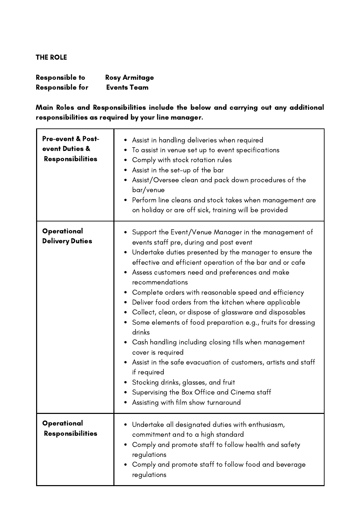# THE ROLE

| <b>Responsible to</b>  | <b>Rosy Armitage</b> |
|------------------------|----------------------|
| <b>Responsible for</b> | <b>Events Team</b>   |

Main Roles and Responsibilities include the below and carrying out any additional responsibilities as required by your line manager.

| <b>Pre-event &amp; Post-</b><br>event Duties &<br><b>Responsibilities</b> | • Assist in handling deliveries when required<br>To assist in venue set up to event specifications<br>٠<br>Comply with stock rotation rules<br>$\bullet$<br>• Assist in the set-up of the bar<br>• Assist/Oversee clean and pack down procedures of the<br>bar/venue<br>Perform line cleans and stock takes when management are<br>on holiday or are off sick, training will be provided                                                                                                                                                                                                                                                                                                                                                                                                                                                                          |
|---------------------------------------------------------------------------|-------------------------------------------------------------------------------------------------------------------------------------------------------------------------------------------------------------------------------------------------------------------------------------------------------------------------------------------------------------------------------------------------------------------------------------------------------------------------------------------------------------------------------------------------------------------------------------------------------------------------------------------------------------------------------------------------------------------------------------------------------------------------------------------------------------------------------------------------------------------|
| Operational<br><b>Delivery Duties</b>                                     | • Support the Event/Venue Manager in the management of<br>events staff pre, during and post event<br>• Undertake duties presented by the manager to ensure the<br>effective and efficient operation of the bar and or cafe<br>• Assess customers need and preferences and make<br>recommendations<br>• Complete orders with reasonable speed and efficiency<br>• Deliver food orders from the kitchen where applicable<br>• Collect, clean, or dispose of glassware and disposables<br>• Some elements of food preparation e.g., fruits for dressing<br>drinks<br>• Cash handling including closing tills when management<br>cover is required<br>• Assist in the safe evacuation of customers, artists and staff<br>if required<br>• Stocking drinks, glasses, and fruit<br>• Supervising the Box Office and Cinema staff<br>Assisting with film show turnaround |
| Operational<br><b>Responsibilities</b>                                    | Undertake all designated duties with enthusiasm,<br>commitment and to a high standard<br>Comply and promote staff to follow health and safety<br>regulations<br>Comply and promote staff to follow food and beverage<br>regulations                                                                                                                                                                                                                                                                                                                                                                                                                                                                                                                                                                                                                               |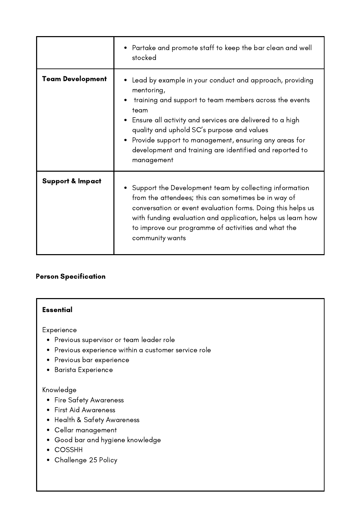|                             | • Partake and promote staff to keep the bar clean and well<br>stocked                                                                                                                                                                                                                                                                                                                   |
|-----------------------------|-----------------------------------------------------------------------------------------------------------------------------------------------------------------------------------------------------------------------------------------------------------------------------------------------------------------------------------------------------------------------------------------|
| <b>Team Development</b>     | Lead by example in your conduct and approach, providing<br>mentoring,<br>training and support to team members across the events<br>team<br>• Ensure all activity and services are delivered to a high<br>quality and uphold SC's purpose and values<br>• Provide support to management, ensuring any areas for<br>development and training are identified and reported to<br>management |
| <b>Support &amp; Impact</b> | • Support the Development team by collecting information<br>from the attendees; this can sometimes be in way of<br>conversation or event evaluation forms. Doing this helps us<br>with funding evaluation and application, helps us learn how<br>to improve our programme of activities and what the<br>community wants                                                                 |

# Person Specification

## Essential

Experience

- Previous supervisor or team leader role
- Previous experience within a customer service role
- Previous bar experience
- **•** Barista Experience

# Knowledge

- Fire Safety Awareness
- First Aid Awareness
- Health & Safety Awareness
- Cellar management
- Good bar and hygiene knowledge
- COSSHH
- Challenge 25 Policy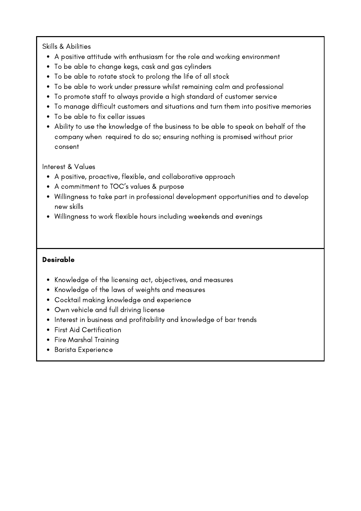## Skills & Abilities

- A positive attitude with enthusiasm for the role and working environment
- To be able to change kegs, cask and gas cylinders
- To be able to rotate stock to prolong the life of all stock
- To be able to work under pressure whilst remaining calm and professional
- To promote staff to always provide a high standard of customer service
- To manage difficult customers and situations and turn them into positive memories
- To be able to fix cellar issues
- Ability to use the knowledge of the business to be able to speak on behalf of the company when required to do so; ensuring nothing is promised without prior consent

## Interest & Values

- A positive, proactive, flexible, and collaborative approach
- A commitment to TOC's values & purpose
- Willingness to take part in professional development opportunities and to develop new skills
- Willingness to work flexible hours including weekends and evenings

# Desirable

- Knowledge of the licensing act, objectives, and measures
- Knowledge of the laws of weights and measures
- Cocktail making knowledge and experience
- Own vehicle and full driving license
- Interest in business and profitability and knowledge of bar trends
- First Aid Certification
- Fire Marshal Training
- Barista Experience